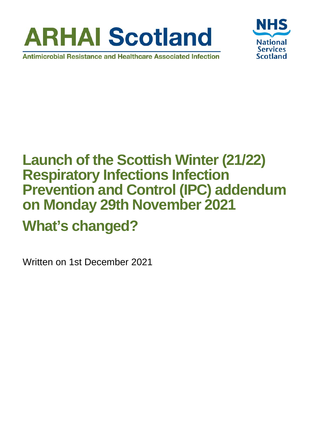



# **Launch of the Scottish Winter (21/22) Respiratory Infections Infection Prevention and Control (IPC) addendum on Monday 29th November 2021**

# **What's changed?**

Written on 1st December 2021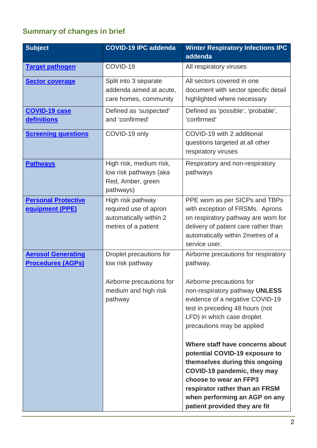#### **Summary of changes in brief**

| <b>Subject</b>                                        | <b>COVID-19 IPC addenda</b>                                                                                | <b>Winter Respiratory Infections IPC</b><br>addenda                                                                                                                                                                                                                                                                                                                                                                                                                                                                  |
|-------------------------------------------------------|------------------------------------------------------------------------------------------------------------|----------------------------------------------------------------------------------------------------------------------------------------------------------------------------------------------------------------------------------------------------------------------------------------------------------------------------------------------------------------------------------------------------------------------------------------------------------------------------------------------------------------------|
| <b>Target pathogen</b>                                | COVID-19                                                                                                   | All respiratory viruses                                                                                                                                                                                                                                                                                                                                                                                                                                                                                              |
| <b>Sector coverage</b>                                | Split into 3 separate<br>addenda aimed at acute,<br>care homes, community                                  | All sectors covered in one<br>document with sector specific detail<br>highlighted where necessary                                                                                                                                                                                                                                                                                                                                                                                                                    |
| <b>COVID-19 case</b><br><u>definitions</u>            | Defined as 'suspected'<br>and 'confirmed'                                                                  | Defined as 'possible', 'probable',<br>'confirmed'                                                                                                                                                                                                                                                                                                                                                                                                                                                                    |
| <b>Screening questions</b>                            | COVID-19 only                                                                                              | COVID-19 with 2 additional<br>questions targeted at all other<br>respiratory viruses                                                                                                                                                                                                                                                                                                                                                                                                                                 |
| <b>Pathways</b>                                       | High risk, medium risk,<br>low risk pathways (aka<br>Red, Amber, green<br>pathways)                        | Respiratory and non-respiratory<br>pathways                                                                                                                                                                                                                                                                                                                                                                                                                                                                          |
| <b>Personal Protective</b><br><b>equipment (PPE)</b>  | High risk pathway<br>required use of apron<br>automatically within 2<br>metres of a patient                | PPE worn as per SICPs and TBPs<br>with exception of FRSMs. Aprons<br>on respiratory pathway are worn for<br>delivery of patient care rather than<br>automatically within 2metres of a<br>service user.                                                                                                                                                                                                                                                                                                               |
| <b>Aerosol Generating</b><br><b>Procedures (AGPs)</b> | Droplet precautions for<br>low risk pathway<br>Airborne precautions for<br>medium and high risk<br>pathway | Airborne precautions for respiratory<br>pathway.<br>Airborne precautions for<br>non-respiratory pathway UNLESS<br>evidence of a negative COVID-19<br>test in preceding 48 hours (not<br>LFD) in which case droplet<br>precautions may be applied<br>Where staff have concerns about<br>potential COVID-19 exposure to<br>themselves during this ongoing<br>COVID-19 pandemic, they may<br>choose to wear an FFP3<br>respirator rather than an FRSM<br>when performing an AGP on any<br>patient provided they are fit |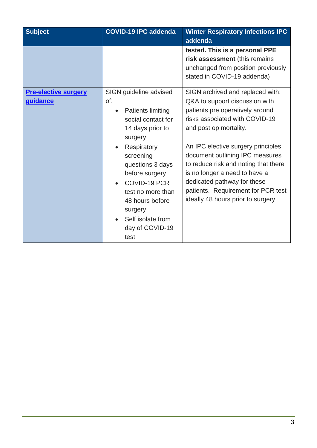| <b>Subject</b>                                 | <b>COVID-19 IPC addenda</b>                                                                                                                                                                                                                                                                         | <b>Winter Respiratory Infections IPC</b><br>addenda                                                                                                                                                                                                                                                                                                                                                                           |
|------------------------------------------------|-----------------------------------------------------------------------------------------------------------------------------------------------------------------------------------------------------------------------------------------------------------------------------------------------------|-------------------------------------------------------------------------------------------------------------------------------------------------------------------------------------------------------------------------------------------------------------------------------------------------------------------------------------------------------------------------------------------------------------------------------|
|                                                |                                                                                                                                                                                                                                                                                                     | tested. This is a personal PPE<br>risk assessment (this remains<br>unchanged from position previously<br>stated in COVID-19 addenda)                                                                                                                                                                                                                                                                                          |
| <b>Pre-elective surgery</b><br><b>guidance</b> | SIGN guideline advised<br>of;<br><b>Patients limiting</b><br>social contact for<br>14 days prior to<br>surgery<br>Respiratory<br>screening<br>questions 3 days<br>before surgery<br>COVID-19 PCR<br>test no more than<br>48 hours before<br>surgery<br>Self isolate from<br>day of COVID-19<br>test | SIGN archived and replaced with;<br>Q&A to support discussion with<br>patients pre operatively around<br>risks associated with COVID-19<br>and post op mortality.<br>An IPC elective surgery principles<br>document outlining IPC measures<br>to reduce risk and noting that there<br>is no longer a need to have a<br>dedicated pathway for these<br>patients. Requirement for PCR test<br>ideally 48 hours prior to surgery |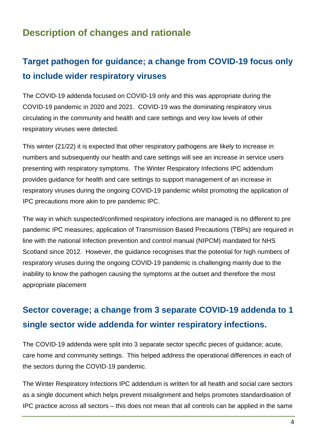### **Description of changes and rationale**

# <span id="page-3-0"></span>**Target pathogen for guidance; a change from COVID-19 focus only to include wider respiratory viruses**

The COVID-19 addenda focused on COVID-19 only and this was appropriate during the COVID-19 pandemic in 2020 and 2021. COVID-19 was the dominating respiratory virus circulating in the community and health and care settings and very low levels of other respiratory viruses were detected.

This winter (21/22) it is expected that other respiratory pathogens are likely to increase in numbers and subsequently our health and care settings will see an increase in service users presenting with respiratory symptoms. The Winter Respiratory Infections IPC addendum provides guidance for health and care settings to support management of an increase in respiratory viruses during the ongoing COVID-19 pandemic whilst promoting the application of IPC precautions more akin to pre pandemic IPC.

The way in which suspected/confirmed respiratory infections are managed is no different to pre pandemic IPC measures; application of Transmission Based Precautions (TBPs) are required in line with the national Infection prevention and control manual (NIPCM) mandated for NHS Scotland since 2012. However, the guidance recognises that the potential for high numbers of respiratory viruses during the ongoing COVID-19 pandemic is challenging mainly due to the inability to know the pathogen causing the symptoms at the outset and therefore the most appropriate placement

## <span id="page-3-1"></span>**Sector coverage; a change from 3 separate COVID-19 addenda to 1 single sector wide addenda for winter respiratory infections.**

The COVID-19 addenda were split into 3 separate sector specific pieces of guidance; acute, care home and community settings. This helped address the operational differences in each of the sectors during the COVID-19 pandemic.

The Winter Respiratory Infections IPC addendum is written for all health and social care sectors as a single document which helps prevent misalignment and helps promotes standardisation of IPC practice across all sectors – this does not mean that all controls can be applied in the same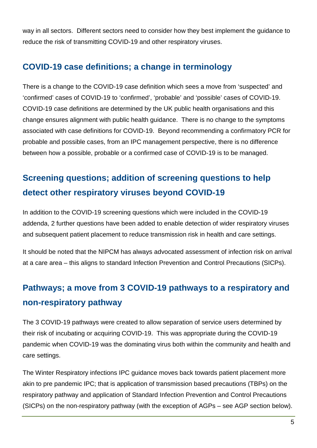way in all sectors. Different sectors need to consider how they best implement the guidance to reduce the risk of transmitting COVID-19 and other respiratory viruses.

#### <span id="page-4-0"></span>**COVID-19 case definitions; a change in terminology**

There is a change to the COVID-19 case definition which sees a move from 'suspected' and 'confirmed' cases of COVID-19 to 'confirmed', 'probable' and 'possible' cases of COVID-19. COVID-19 case definitions are determined by the UK public health organisations and this change ensures alignment with public health guidance. There is no change to the symptoms associated with case definitions for COVID-19. Beyond recommending a confirmatory PCR for probable and possible cases, from an IPC management perspective, there is no difference between how a possible, probable or a confirmed case of COVID-19 is to be managed.

## <span id="page-4-1"></span>**Screening questions; addition of screening questions to help detect other respiratory viruses beyond COVID-19**

In addition to the COVID-19 screening questions which were included in the COVID-19 addenda, 2 further questions have been added to enable detection of wider respiratory viruses and subsequent patient placement to reduce transmission risk in health and care settings.

It should be noted that the NIPCM has always advocated assessment of infection risk on arrival at a care area – this aligns to standard Infection Prevention and Control Precautions (SICPs).

# <span id="page-4-2"></span>**Pathways; a move from 3 COVID-19 pathways to a respiratory and non-respiratory pathway**

The 3 COVID-19 pathways were created to allow separation of service users determined by their risk of incubating or acquiring COVID-19. This was appropriate during the COVID-19 pandemic when COVID-19 was the dominating virus both within the community and health and care settings.

The Winter Respiratory infections IPC guidance moves back towards patient placement more akin to pre pandemic IPC; that is application of transmission based precautions (TBPs) on the respiratory pathway and application of Standard Infection Prevention and Control Precautions (SICPs) on the non-respiratory pathway (with the exception of AGPs – see AGP section below).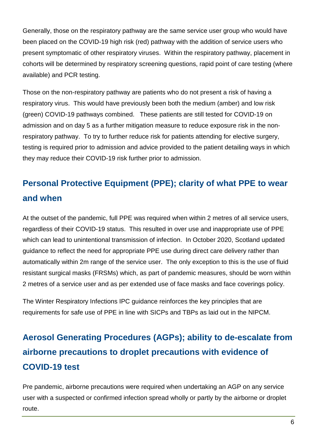Generally, those on the respiratory pathway are the same service user group who would have been placed on the COVID-19 high risk (red) pathway with the addition of service users who present symptomatic of other respiratory viruses. Within the respiratory pathway, placement in cohorts will be determined by respiratory screening questions, rapid point of care testing (where available) and PCR testing.

Those on the non-respiratory pathway are patients who do not present a risk of having a respiratory virus. This would have previously been both the medium (amber) and low risk (green) COVID-19 pathways combined. These patients are still tested for COVID-19 on admission and on day 5 as a further mitigation measure to reduce exposure risk in the nonrespiratory pathway. To try to further reduce risk for patients attending for elective surgery, testing is required prior to admission and advice provided to the patient detailing ways in which they may reduce their COVID-19 risk further prior to admission.

# <span id="page-5-0"></span>**Personal Protective Equipment (PPE); clarity of what PPE to wear and when**

At the outset of the pandemic, full PPE was required when within 2 metres of all service users, regardless of their COVID-19 status. This resulted in over use and inappropriate use of PPE which can lead to unintentional transmission of infection. In October 2020, Scotland updated guidance to reflect the need for appropriate PPE use during direct care delivery rather than automatically within 2m range of the service user. The only exception to this is the use of fluid resistant surgical masks (FRSMs) which, as part of pandemic measures, should be worn within 2 metres of a service user and as per extended use of face masks and face coverings policy.

The Winter Respiratory Infections IPC guidance reinforces the key principles that are requirements for safe use of PPE in line with SICPs and TBPs as laid out in the NIPCM.

# <span id="page-5-1"></span>**Aerosol Generating Procedures (AGPs); ability to de-escalate from airborne precautions to droplet precautions with evidence of COVID-19 test**

Pre pandemic, airborne precautions were required when undertaking an AGP on any service user with a suspected or confirmed infection spread wholly or partly by the airborne or droplet route.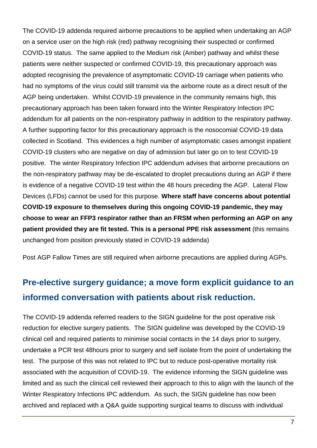The COVID-19 addenda required airborne precautions to be applied when undertaking an AGP on a service user on the high risk (red) pathway recognising their suspected or confirmed COVID-19 status. The same applied to the Medium risk (Amber) pathway and whilst these patients were neither suspected or confirmed COVID-19, this precautionary approach was adopted recognising the prevalence of asymptomatic COVID-19 carriage when patients who had no symptoms of the virus could still transmit via the airborne route as a direct result of the AGP being undertaken. Whilst COVID-19 prevalence in the community remains high, this precautionary approach has been taken forward into the Winter Respiratory Infection IPC addendum for all patients on the non-respiratory pathway in addition to the respiratory pathway. A further supporting factor for this precautionary approach is the nosocomial COVID-19 data collected in Scotland. This evidences a high number of asymptomatic cases amongst inpatient COVID-19 clusters who are negative on day of admission but later go on to test COVID-19 positive. The winter Respiratory Infection IPC addendum advises that airborne precautions on the non-respiratory pathway may be de-escalated to droplet precautions during an AGP if there is evidence of a negative COVID-19 test within the 48 hours preceding the AGP. Lateral Flow Devices (LFDs) cannot be used for this purpose. **Where staff have concerns about potential COVID-19 exposure to themselves during this ongoing COVID-19 pandemic, they may choose to wear an FFP3 respirator rather than an FRSM when performing an AGP on any patient provided they are fit tested. This is a personal PPE risk assessment** (this remains unchanged from position previously stated in COVID-19 addenda)

Post AGP Fallow Times are still required when airborne precautions are applied during AGPs.

### <span id="page-6-0"></span>**Pre-elective surgery guidance; a move form explicit guidance to an informed conversation with patients about risk reduction.**

The COVID-19 addenda referred readers to the SIGN guideline for the post operative risk reduction for elective surgery patients. The SIGN guideline was developed by the COVID-19 clinical cell and required patients to minimise social contacts in the 14 days prior to surgery, undertake a PCR test 48hours prior to surgery and self isolate from the point of undertaking the test. The purpose of this was not related to IPC but to reduce post-operative mortality risk associated with the acquisition of COVID-19. The evidence informing the SIGN guideline was limited and as such the clinical cell reviewed their approach to this to align with the launch of the Winter Respiratory Infections IPC addendum. As such, the SIGN guideline has now been archived and replaced with a Q&A guide supporting surgical teams to discuss with individual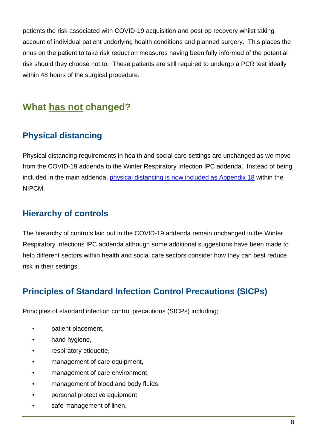patients the risk associated with COVID-19 acquisition and post-op recovery whilst taking account of individual patient underlying health conditions and planned surgery. This places the onus on the patient to take risk reduction measures having been fully informed of the potential risk should they choose not to. These patients are still required to undergo a PCR test ideally within 48 hours of the surgical procedure.

### **What has not changed?**

### **Physical distancing**

Physical distancing requirements in health and social care settings are unchanged as we move from the COVID-19 addenda to the Winter Respiratory Infection IPC addenda. Instead of being included in the main addenda, [physical distancing is now included as Appendix 18](https://www.nipcm.hps.scot.nhs.uk/appendices/appendix-18-physical-distancing-in-health-and-care-settings-a-pandemic-measure-deployed-in-2020-during-the-covid-19-pandemic/) within the NIPCM.

#### **Hierarchy of controls**

The hierarchy of controls laid out in the COVID-19 addenda remain unchanged in the Winter Respiratory Infections IPC addenda although some additional suggestions have been made to help different sectors within health and social care sectors consider how they can best reduce risk in their settings.

#### **Principles of Standard Infection Control Precautions (SICPs)**

Principles of standard infection control precautions (SICPs) including;

- patient placement,
- hand hygiene,
- respiratory etiquette,
- management of care equipment,
- management of care environment,
- management of blood and body fluids,
- personal protective equipment
- safe management of linen,